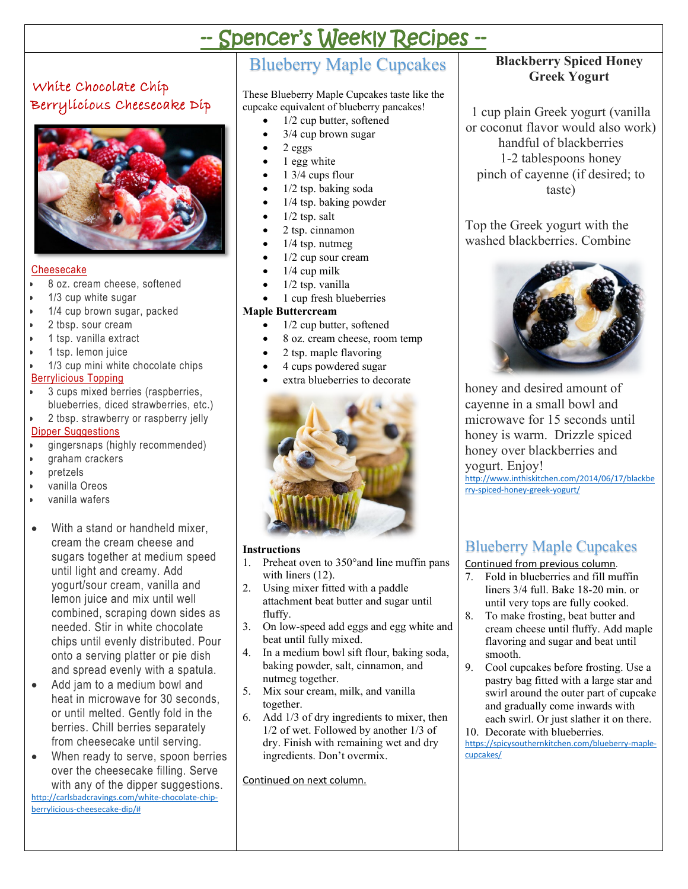# -- Spencer's Weekly Recipes --

## White Chocolate Chip Berrylicious Cheesecake Dip



#### Cheesecake

- 8 oz. cream cheese, softened
- 1/3 cup white sugar
- 1/4 cup brown sugar, packed
- 2 tbsp. sour cream
- 1 tsp. vanilla extract
- 1 tsp. lemon juice
- 1/3 cup mini white chocolate chips Berrylicious Topping
- 3 cups mixed berries (raspberries, blueberries, diced strawberries, etc.)
- 2 tbsp. strawberry or raspberry jelly

#### Dipper Suggestions

- gingersnaps (highly recommended)
- graham crackers
- pretzels
- vanilla Oreos
- vanilla wafers
- With a stand or handheld mixer, cream the cream cheese and sugars together at medium speed until light and creamy. Add yogurt/sour cream, vanilla and lemon juice and mix until well combined, scraping down sides as needed. Stir in white chocolate chips until evenly distributed. Pour onto a serving platter or pie dish and spread evenly with a spatula.
- Add jam to a medium bowl and heat in microwave for 30 seconds, or until melted. Gently fold in the berries. Chill berries separately from cheesecake until serving.
- When ready to serve, spoon berries over the cheesecake filling. Serve with any of the dipper suggestions.

[http://carlsbadcravings.com/white-chocolate-chip](http://carlsbadcravings.com/white-chocolate-chip-berrylicious-cheesecake-dip/)[berrylicious-cheesecake-dip/#](http://carlsbadcravings.com/white-chocolate-chip-berrylicious-cheesecake-dip/)

## Blueberry Maple Cupcakes

These Blueberry Maple Cupcakes taste like the cupcake equivalent of blueberry pancakes!

- 1/2 cup butter, softened
- 3/4 cup brown sugar
- 2 eggs
- 1 egg white
- 1 3/4 cups flour
- 1/2 tsp. baking soda
- 1/4 tsp. baking powder
- $1/2$  tsp. salt
- 2 tsp. cinnamon
- $1/4$  tsp. nutmeg
- 1/2 cup sour cream
- $1/4$  cup milk
- 1/2 tsp. vanilla
- 1 cup fresh blueberries

#### **Maple Buttercream**

- 1/2 cup butter, softened
- 8 oz. cream cheese, room temp
- 2 tsp. maple flavoring
- 4 cups powdered sugar
- extra blueberries to decorate



#### **Instructions**

- 1. Preheat oven to 350°and line muffin pans with liners (12).
- 2. Using mixer fitted with a paddle attachment beat butter and sugar until fluffy.
- 3. On low-speed add eggs and egg white and beat until fully mixed.
- 4. In a medium bowl sift flour, baking soda, baking powder, salt, cinnamon, and nutmeg together.
- 5. Mix sour cream, milk, and vanilla together.
- 6. Add 1/3 of dry ingredients to mixer, then 1/2 of wet. Followed by another 1/3 of dry. Finish with remaining wet and dry ingredients. Don't overmix.

Continued on next column.

### **Blackberry Spiced Honey Greek Yogurt**

1 cup plain Greek yogurt (vanilla or coconut flavor would also work) handful of blackberries 1-2 tablespoons honey pinch of cayenne (if desired; to taste)

Top the Greek yogurt with the washed blackberries. Combine



honey and desired amount of cayenne in a small bowl and microwave for 15 seconds until honey is warm. Drizzle spiced honey over blackberries and

yogurt. Enjoy!

[http://www.inthiskitchen.com/2014/06/17/blackbe](http://www.inthiskitchen.com/2014/06/17/blackberry-spiced-honey-greek-yogurt/) [rry-spiced-honey-greek-yogurt/](http://www.inthiskitchen.com/2014/06/17/blackberry-spiced-honey-greek-yogurt/)

## Blueberry Maple Cupcakes

Continued from previous column.

- 7. Fold in blueberries and fill muffin liners 3/4 full. Bake 18-20 min. or until very tops are fully cooked.
- 8. To make frosting, beat butter and cream cheese until fluffy. Add maple flavoring and sugar and beat until smooth.
- 9. Cool cupcakes before frosting. Use a pastry bag fitted with a large star and swirl around the outer part of cupcake and gradually come inwards with each swirl. Or just slather it on there.
- 10. Decorate with blueberries.

[https://spicysouthernkitchen.com/blueberry-maple](https://spicysouthernkitchen.com/blueberry-maple-cupcakes/)[cupcakes/](https://spicysouthernkitchen.com/blueberry-maple-cupcakes/)